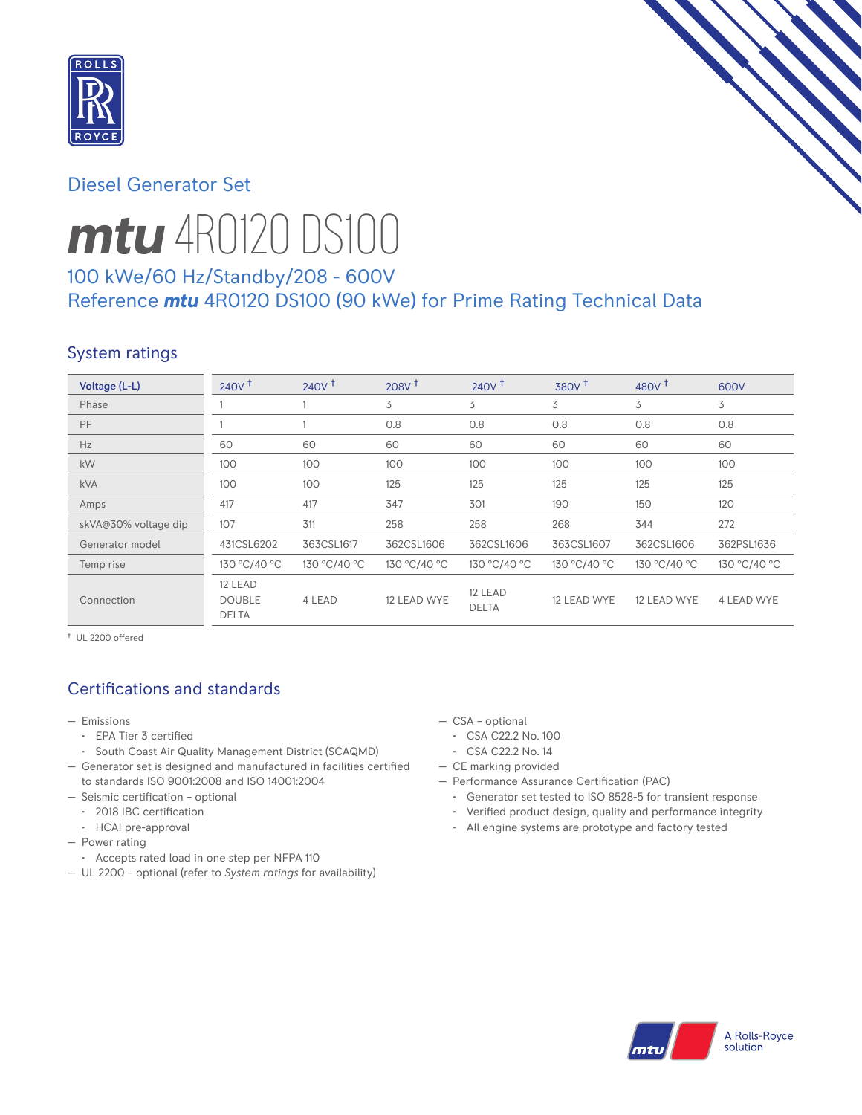

# Diesel Generator Set



# *mtu* 4R0120 DS100

# 100 kWe/60 Hz/Standby/208 - 600V Reference *mtu* 4R0120 DS100 (90 kWe) for Prime Rating Technical Data

# System ratings

| Voltage (L-L)        | $240V^{\dagger}$                         | $240V$ <sup>+</sup> | 208V <sup>†</sup> | 240V <sup>†</sup>       | $380V$ <sup>+</sup> | 480 $V†$     | 600V         |
|----------------------|------------------------------------------|---------------------|-------------------|-------------------------|---------------------|--------------|--------------|
| Phase                |                                          |                     | 3                 | 3                       | 3                   | 3            | 3            |
| PF                   |                                          |                     | 0.8               | 0.8                     | 0.8                 | 0.8          | 0.8          |
| Hz                   | 60                                       | 60                  | 60                | 60                      | 60                  | 60           | 60           |
| kW                   | 100                                      | 100                 | 100               | 100                     | 100                 | 100          | 100          |
| kVA                  | 100                                      | 100                 | 125               | 125                     | 125                 | 125          | 125          |
| Amps                 | 417                                      | 417                 | 347               | 301                     | 190                 | 150          | 120          |
| skVA@30% voltage dip | 107                                      | 311                 | 258               | 258                     | 268                 | 344          | 272          |
| Generator model      | 431CSL6202                               | 363CSL1617          | 362CSL1606        | 362CSL1606              | 363CSL1607          | 362CSL1606   | 362PSL1636   |
| Temp rise            | 130 °C/40 °C                             | 130 °C/40 °C        | 130 °C/40 °C      | 130 °C/40 °C            | 130 °C/40 °C        | 130 °C/40 °C | 130 °C/40 °C |
| Connection           | 12 LEAD<br><b>DOUBLE</b><br><b>DELTA</b> | 4 LEAD              | 12 LEAD WYE       | 12 LEAD<br><b>DELTA</b> | 12 LEAD WYE         | 12 LEAD WYE  | 4 LEAD WYE   |

† UL 2200 offered

# Certifications and standards

- Emissions
	- EPA Tier 3 certified
	- South Coast Air Quality Management District (SCAQMD)
- Generator set is designed and manufactured in facilities certified to standards ISO 9001:2008 and ISO 14001:2004
- Seismic certification optional
	- 2018 IBC certification
	- HCAI pre-approval
- Power rating
- Accepts rated load in one step per NFPA 110
- UL 2200 optional (refer to *System ratings* for availability)
- CSA optional
	- CSA C22.2 No. 100
	- CSA C22.2 No. 14
- CE marking provided
- Performance Assurance Certification (PAC)
	- Generator set tested to ISO 8528-5 for transient response
	- Verified product design, quality and performance integrity
	- All engine systems are prototype and factory tested

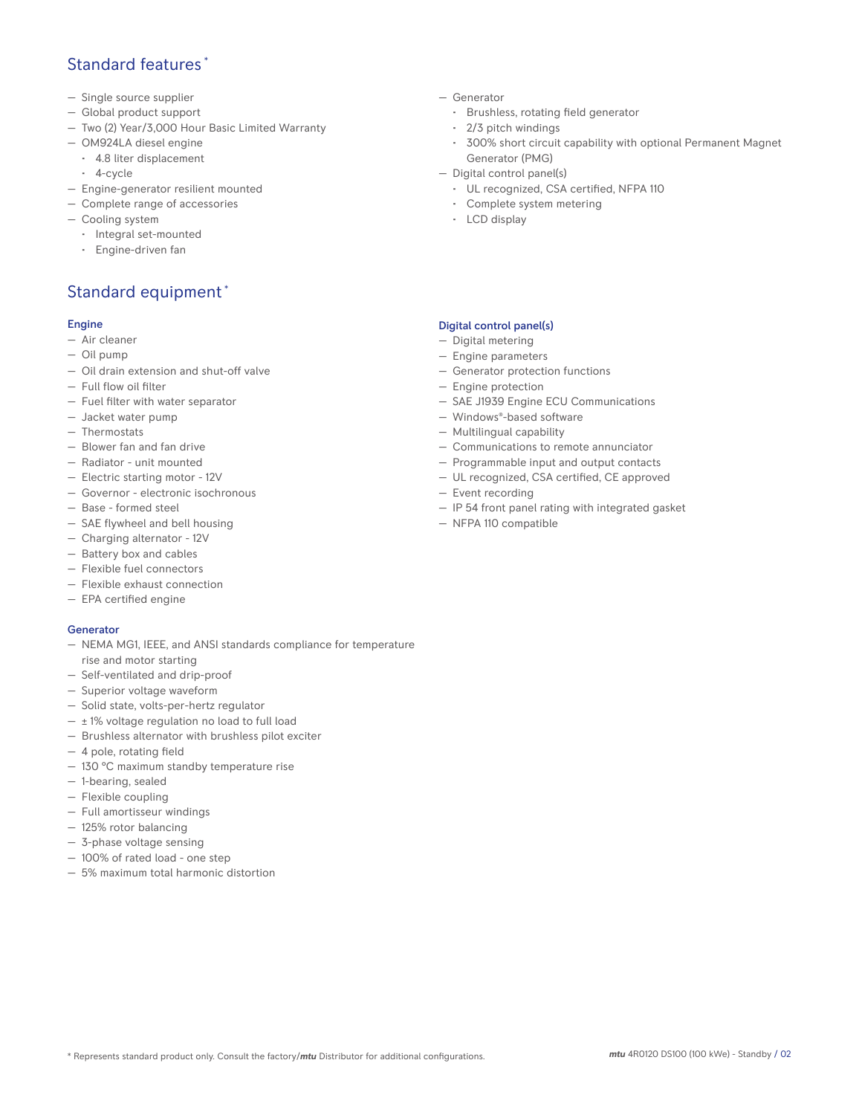## Standard features \*

- Single source supplier
- Global product support
- Two (2) Year/3,000 Hour Basic Limited Warranty
- OM924LA diesel engine
	- 4.8 liter displacement
	- 4-cycle
- Engine-generator resilient mounted
- Complete range of accessories
- Cooling system
	- Integral set-mounted
	- Engine-driven fan

# Standard equipment \*

#### Engine

- Air cleaner
- Oil pump
- Oil drain extension and shut-off valve
- Full flow oil filter
- Fuel filter with water separator
- Jacket water pump
- Thermostats
- Blower fan and fan drive
- Radiator unit mounted
- Electric starting motor 12V
- Governor electronic isochronous
- Base formed steel
- SAE flywheel and bell housing
- Charging alternator 12V
- Battery box and cables
- Flexible fuel connectors
- Flexible exhaust connection
- EPA certified engine

#### Generator

- NEMA MG1, IEEE, and ANSI standards compliance for temperature rise and motor starting
- Self-ventilated and drip-proof
- Superior voltage waveform
- Solid state, volts-per-hertz regulator
- $\pm$  1% voltage regulation no load to full load
- Brushless alternator with brushless pilot exciter
- 4 pole, rotating field
- 130 °C maximum standby temperature rise
- 1-bearing, sealed
- Flexible coupling
- Full amortisseur windings
- 125% rotor balancing
- 3-phase voltage sensing
- 100% of rated load one step
- 5% maximum total harmonic distortion
- Generator
	- Brushless, rotating field generator
	- 2/3 pitch windings
	- 300% short circuit capability with optional Permanent Magnet Generator (PMG)
- Digital control panel(s)
	- UL recognized, CSA certified, NFPA 110
	- Complete system metering
	- LCD display

### Digital control panel(s)

- Digital metering
- Engine parameters
- Generator protection functions
- Engine protection
- SAE J1939 Engine ECU Communications
- Windows®-based software
- Multilingual capability
- Communications to remote annunciator
- Programmable input and output contacts
- UL recognized, CSA certified, CE approved
- Event recording
- IP 54 front panel rating with integrated gasket
- NFPA 110 compatible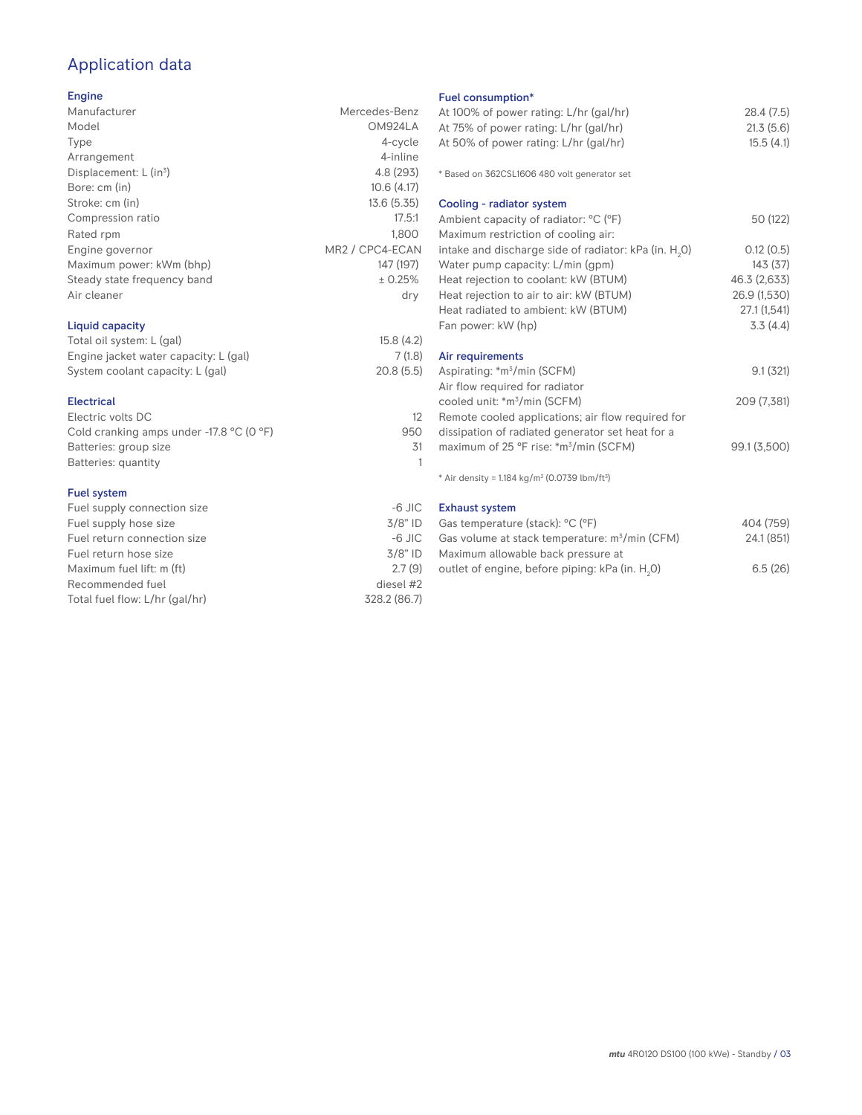# Application data

## Engine

| Manufacturer                         | Mercedes-Benz                            |
|--------------------------------------|------------------------------------------|
| Model                                | OM924LA                                  |
| Type                                 | 4-cycle                                  |
| Arrangement                          | 4-inline                                 |
| Displacement: $L$ (in <sup>3</sup> ) | 4.8 (293)                                |
| Bore: cm (in)                        | 10.6(4.17)                               |
| Stroke: cm (in)                      | 13.6 (5.35)                              |
| Compression ratio                    | 17.5:1                                   |
| Rated rpm                            | 1,800                                    |
| Engine governor                      | MR <sub>2</sub> / CPC <sub>4</sub> -ECAN |
| Maximum power: kWm (bhp)             | 147 (197)                                |
| Steady state frequency band          | ± 0.25%                                  |
| Air cleaner                          | dry                                      |
| Liquid capacity                      |                                          |
| $T - 1 = 1 - 11 - 11 - 11 - 11$      | $1 - 0$ $(1 - 0)$                        |

| Total oil system: L (gal)             | 15.8(4.2) |
|---------------------------------------|-----------|
| Engine jacket water capacity: L (gal) | 7(1.8)    |
| System coolant capacity: L (gal)      | 20.8(5.5) |
|                                       |           |

### Electrical

| Electric volts DC                                            |     |
|--------------------------------------------------------------|-----|
| Cold cranking amps under -17.8 $^{\circ}$ C (O $^{\circ}$ F) | 950 |
| Batteries: group size                                        | .31 |
| Batteries: quantity                                          |     |
|                                                              |     |

#### Fuel system

| $-6$ JIC     |
|--------------|
| $3/8"$ ID    |
| $-6$ JIC     |
| $3/8"$ ID    |
| 2.7(9)       |
| diesel #2    |
| 328.2 (86.7) |
|              |

## Fuel consumption\*

| Fuel consumption <sup>*</sup>                                           |                |
|-------------------------------------------------------------------------|----------------|
| At 100% of power rating: L/hr (gal/hr)                                  | 28.4(7.5)      |
| At 75% of power rating: L/hr (gal/hr)                                   | 21.3(5.6)      |
| At 50% of power rating: L/hr (gal/hr)                                   | 15.5(4.1)      |
|                                                                         |                |
| * Based on 362CSL1606 480 volt generator set                            |                |
| Cooling - radiator system                                               |                |
| Ambient capacity of radiator: °C (°F)                                   | 50 (122)       |
| Maximum restriction of cooling air:                                     |                |
| intake and discharge side of radiator: kPa (in. H <sub>2</sub> 0)       | 0.12(0.5)      |
| Water pump capacity: L/min (gpm)                                        | 143(37)        |
| Heat rejection to coolant: kW (BTUM)                                    | 46.3 (2,633)   |
| Heat rejection to air to air: kW (BTUM)                                 | 26.9 (1,530)   |
| Heat radiated to ambient: kW (BTUM)                                     | 27.1(1,541)    |
| Fan power: kW (hp)                                                      | 3.3(4.4)       |
| Air requirements                                                        |                |
| Aspirating: *m <sup>3</sup> /min (SCFM)                                 | 9.1(321)       |
| Air flow required for radiator                                          |                |
| cooled unit: *m <sup>3</sup> /min (SCFM)                                | 209 (7,381)    |
| Remote cooled applications; air flow required for                       |                |
| dissipation of radiated generator set heat for a                        |                |
| maximum of 25 °F rise: *m <sup>3</sup> /min (SCFM)                      | 99.1 (3,500)   |
| * Air density = $1.184$ kg/m <sup>3</sup> (0.0739 lbm/ft <sup>3</sup> ) |                |
| <b>Exhaust system</b>                                                   |                |
| $(1)$ $(1)$ $(0)$ $(0)$                                                 | $40.4$ $(750)$ |

| Gas temperature (stack): °C (°F)                            | 404 (759)  |
|-------------------------------------------------------------|------------|
| Gas volume at stack temperature: $m^3/m$ in (CFM)           | 24.1 (851) |
| Maximum allowable back pressure at                          |            |
| outlet of engine, before piping: kPa (in. H <sub>2</sub> 0) | 6.5(26)    |
|                                                             |            |